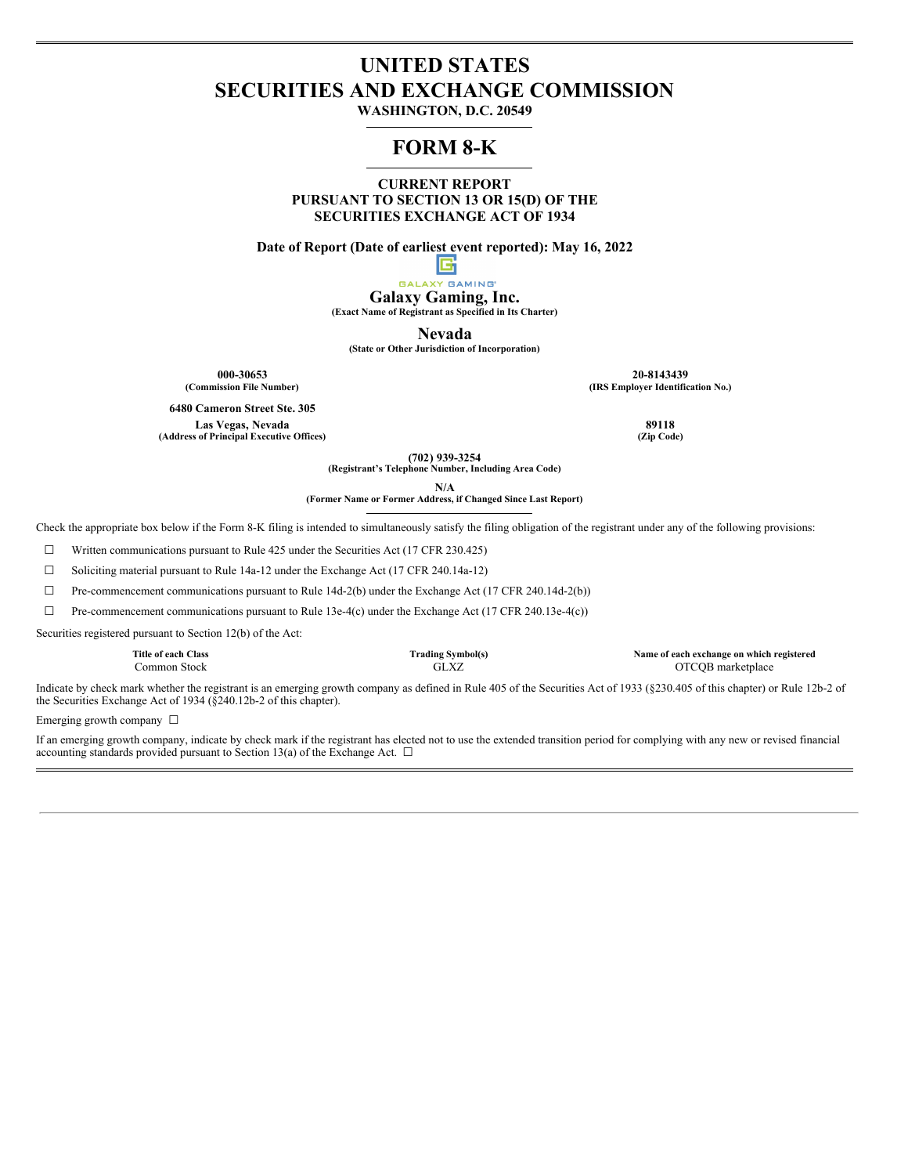## **UNITED STATES SECURITIES AND EXCHANGE COMMISSION**

**WASHINGTON, D.C. 20549**

### **FORM 8-K**

**CURRENT REPORT PURSUANT TO SECTION 13 OR 15(D) OF THE SECURITIES EXCHANGE ACT OF 1934**

**Date of Report (Date of earliest event reported): May 16, 2022**

#### I۴ **GALAXY GAMING**

**Galaxy Gaming, Inc.**

**(Exact Name of Registrant as Specified in Its Charter)**

**Nevada**

**(State or Other Jurisdiction of Incorporation)**

**6480 Cameron Street Ste. 305**

 $(A$ ddress of Principal Executive Offices)

**000-30653 20-8143439 (Commission File Number) (IRS Employer Identification No.)**

**Las Vegas, Nevada 89118**

**(702) 939-3254**

**(Registrant's Telephone Number, Including Area Code)**

**N/A**

**(Former Name or Former Address, if Changed Since Last Report)**

Check the appropriate box below if the Form 8-K filing is intended to simultaneously satisfy the filing obligation of the registrant under any of the following provisions:

☐ Written communications pursuant to Rule 425 under the Securities Act (17 CFR 230.425)

☐ Soliciting material pursuant to Rule 14a-12 under the Exchange Act (17 CFR 240.14a-12)

 $\Box$  Pre-commencement communications pursuant to Rule 14d-2(b) under the Exchange Act (17 CFR 240.14d-2(b))

 $\Box$  Pre-commencement communications pursuant to Rule 13e-4(c) under the Exchange Act (17 CFR 240.13e-4(c))

Securities registered pursuant to Section 12(b) of the Act:

| Title of each Class | <b>Trading Symbol(s)</b> | Name of each exchange on which registered |
|---------------------|--------------------------|-------------------------------------------|
| Common Stock-       | GLXZ                     | OTCQB marketplace                         |

Indicate by check mark whether the registrant is an emerging growth company as defined in Rule 405 of the Securities Act of 1933 (§230.405 of this chapter) or Rule 12b-2 of the Securities Exchange Act of 1934 (§240.12b-2 of this chapter).

Emerging growth company  $\Box$ 

If an emerging growth company, indicate by check mark if the registrant has elected not to use the extended transition period for complying with any new or revised financial accounting standards provided pursuant to Section 13(a) of the Exchange Act.  $\Box$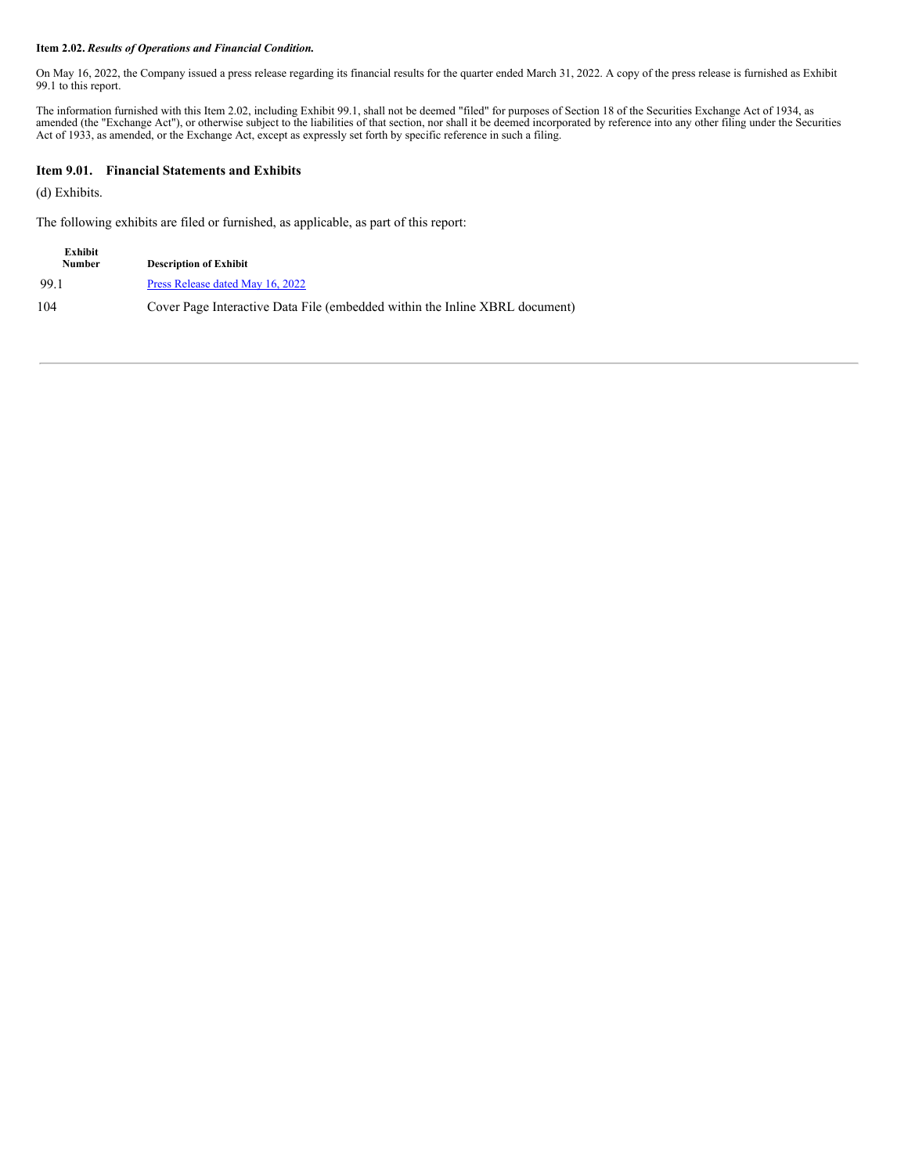#### **Item 2.02.** *Results of Operations and Financial Condition.*

On May 16, 2022, the Company issued a press release regarding its financial results for the quarter ended March 31, 2022. A copy of the press release is furnished as Exhibit 99.1 to this report.

The information furnished with this Item 2.02, including Exhibit 99.1, shall not be deemed "filed" for purposes of Section 18 of the Securities Exchange Act of 1934, as amended (the "Exchange Act"), or otherwise subject to the liabilities of that section, nor shall it be deemed incorporated by reference into any other filing under the Securities Act of 1933, as amended, or the Exchange Act, except as expressly set forth by specific reference in such a filing.

#### **Item 9.01. Financial Statements and Exhibits**

(d) Exhibits.

The following exhibits are filed or furnished, as applicable, as part of this report:

| Exhibit<br><b>Number</b> | <b>Description of Exhibit</b>                                               |
|--------------------------|-----------------------------------------------------------------------------|
| 99.1                     | Press Release dated May 16, 2022                                            |
| 104                      | Cover Page Interactive Data File (embedded within the Inline XBRL document) |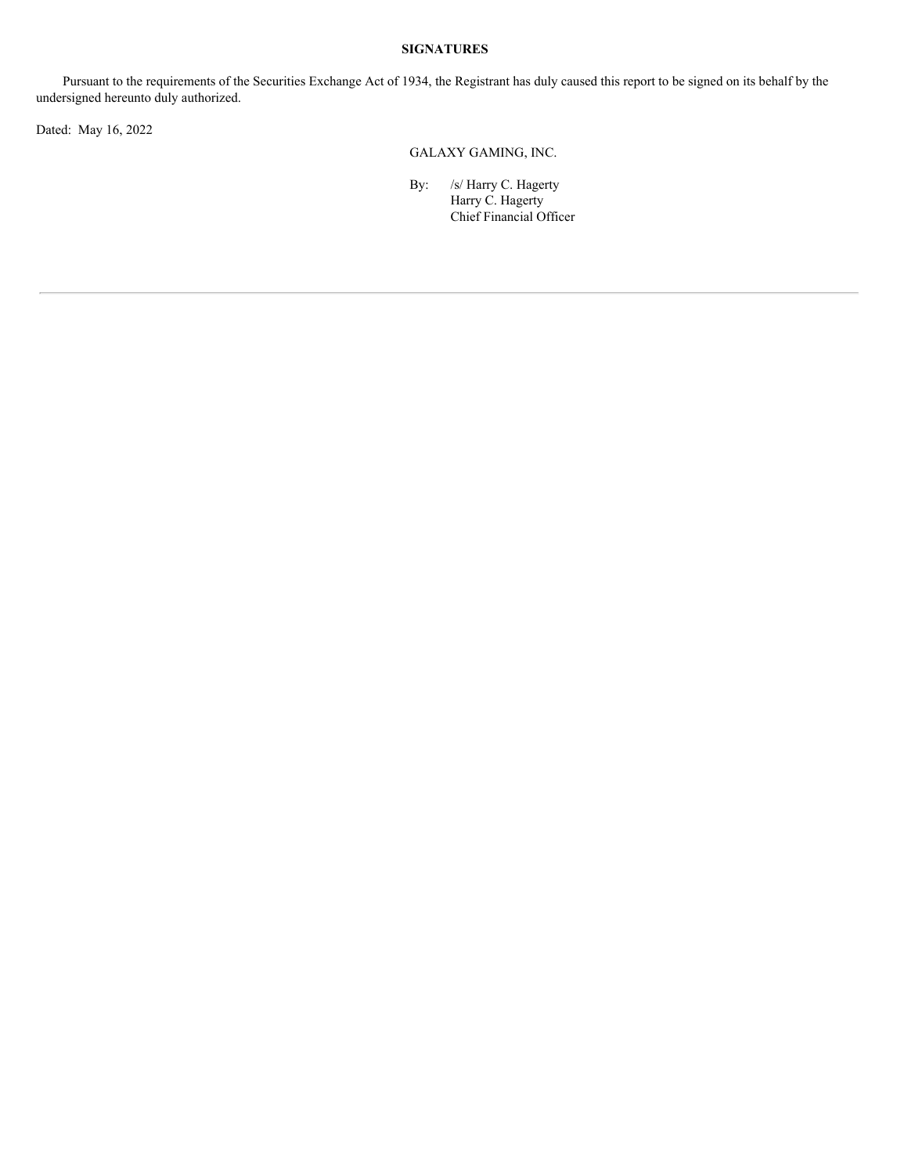#### **SIGNATURES**

Pursuant to the requirements of the Securities Exchange Act of 1934, the Registrant has duly caused this report to be signed on its behalf by the undersigned hereunto duly authorized.

Dated: May 16, 2022

GALAXY GAMING, INC.

By: /s/ Harry C. Hagerty Harry C. Hagerty Chief Financial Officer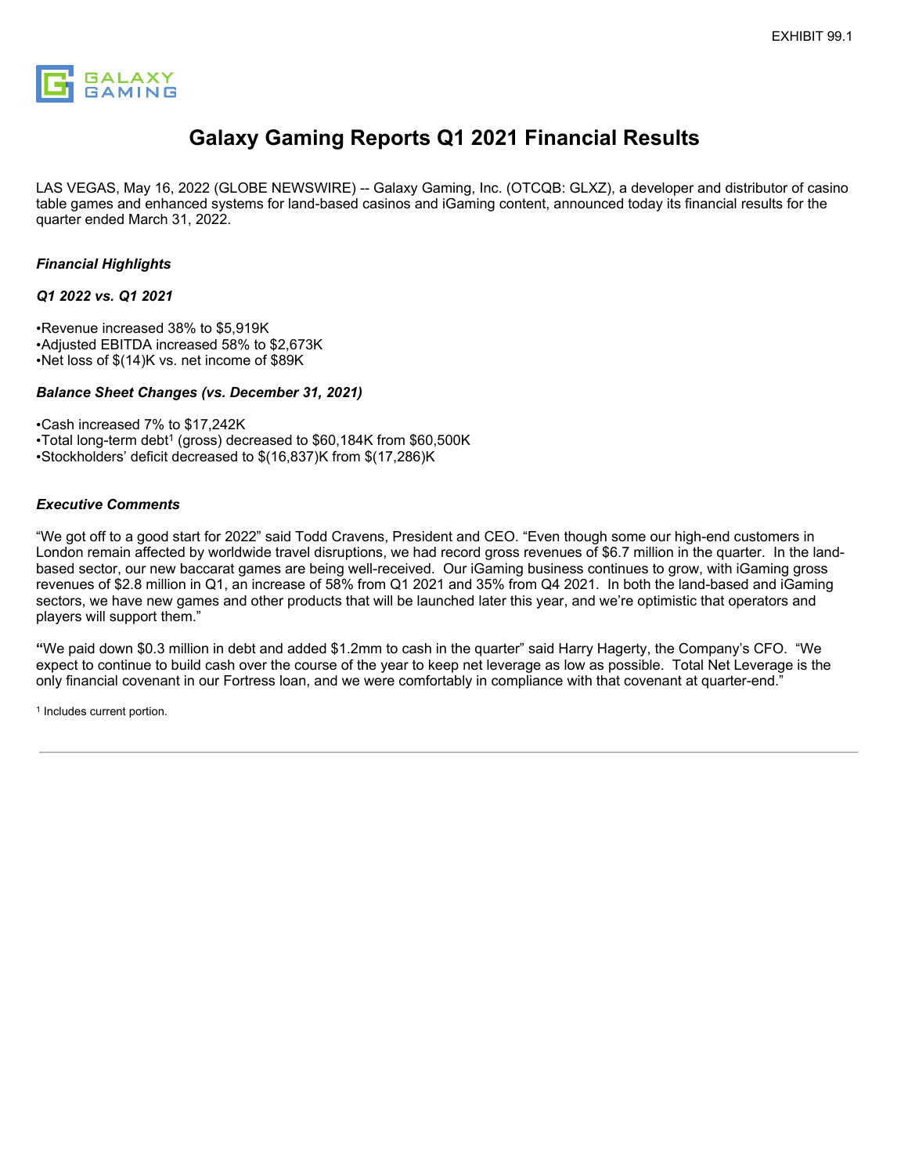

# **Galaxy Gaming Reports Q1 2021 Financial Results**

LAS VEGAS, May 16, 2022 (GLOBE NEWSWIRE) -- Galaxy Gaming, Inc. (OTCQB: GLXZ), a developer and distributor of casino table games and enhanced systems for land-based casinos and iGaming content, announced today its financial results for the quarter ended March 31, 2022.

#### *Financial Highlights*

#### *Q1 2022 vs. Q1 2021*

•Revenue increased 38% to \$5,919K •Adjusted EBITDA increased 58% to \$2,673K •Net loss of \$(14)K vs. net income of \$89K

#### *Balance Sheet Changes (vs. December 31, 2021)*

•Cash increased 7% to \$17,242K

•Total long-term debt<sup>1</sup> (gross) decreased to \$60,184K from \$60,500K •Stockholders' deficit decreased to \$(16,837)K from \$(17,286)K

#### *Executive Comments*

"We got off to a good start for 2022" said Todd Cravens, President and CEO. "Even though some our high-end customers in London remain affected by worldwide travel disruptions, we had record gross revenues of \$6.7 million in the quarter. In the landbased sector, our new baccarat games are being well-received. Our iGaming business continues to grow, with iGaming gross revenues of \$2.8 million in Q1, an increase of 58% from Q1 2021 and 35% from Q4 2021. In both the land-based and iGaming sectors, we have new games and other products that will be launched later this year, and we're optimistic that operators and players will support them."

**"**We paid down \$0.3 million in debt and added \$1.2mm to cash in the quarter" said Harry Hagerty, the Company's CFO. "We expect to continue to build cash over the course of the year to keep net leverage as low as possible. Total Net Leverage is the only financial covenant in our Fortress loan, and we were comfortably in compliance with that covenant at quarter-end."

<sup>1</sup> Includes current portion.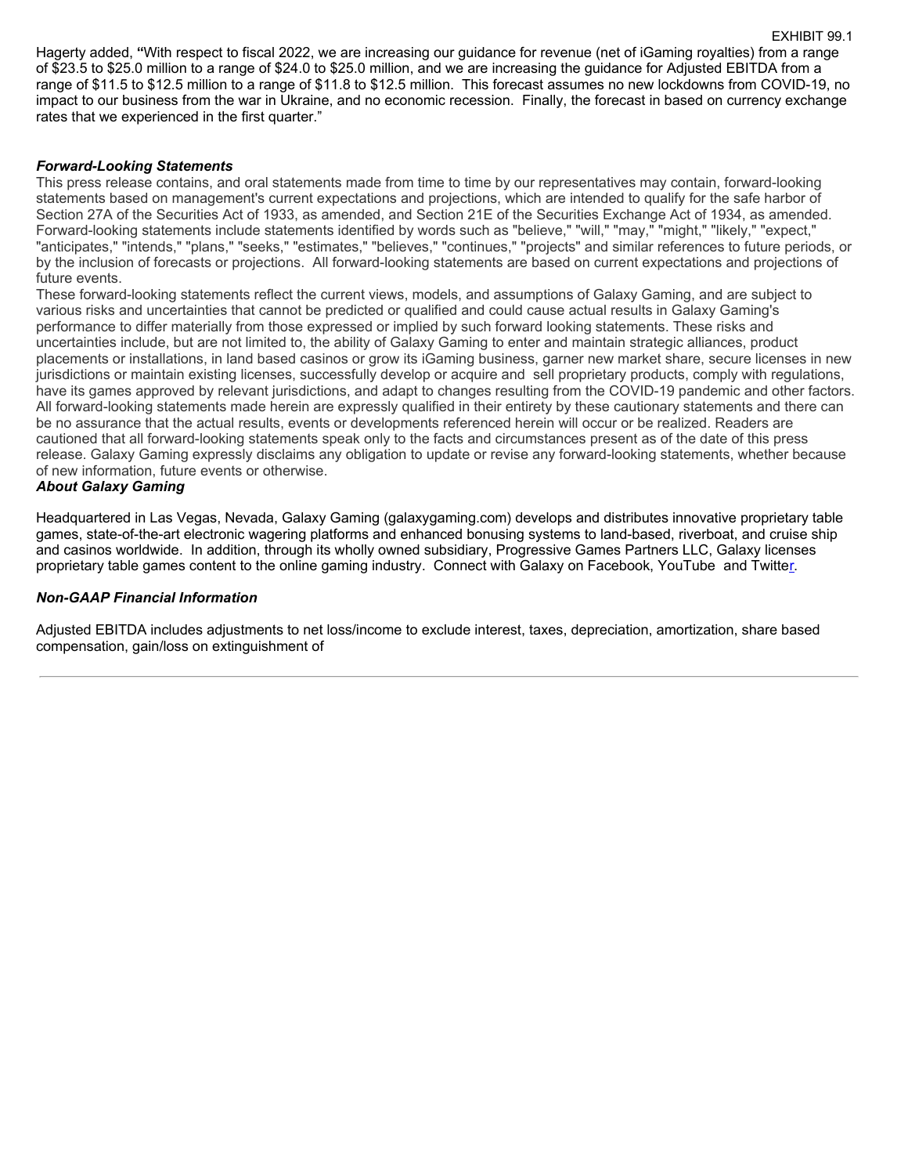<span id="page-5-0"></span>Hagerty added, **"**With respect to fiscal 2022, we are increasing our guidance for revenue (net of iGaming royalties) from a range of \$23.5 to \$25.0 million to a range of \$24.0 to \$25.0 million, and we are increasing the guidance for Adjusted EBITDA from a range of \$11.5 to \$12.5 million to a range of \$11.8 to \$12.5 million. This forecast assumes no new lockdowns from COVID-19, no impact to our business from the war in Ukraine, and no economic recession. Finally, the forecast in based on currency exchange rates that we experienced in the first quarter."

EXHIBIT 99.1

#### *Forward-Looking Statements*

This press release contains, and oral statements made from time to time by our representatives may contain, forward-looking statements based on management's current expectations and projections, which are intended to qualify for the safe harbor of Section 27A of the Securities Act of 1933, as amended, and Section 21E of the Securities Exchange Act of 1934, as amended. Forward-looking statements include statements identified by words such as "believe," "will," "may," "might," "likely," "expect," "anticipates," "intends," "plans," "seeks," "estimates," "believes," "continues," "projects" and similar references to future periods, or by the inclusion of forecasts or projections. All forward-looking statements are based on current expectations and projections of future events.

These forward-looking statements reflect the current views, models, and assumptions of Galaxy Gaming, and are subject to various risks and uncertainties that cannot be predicted or qualified and could cause actual results in Galaxy Gaming's performance to differ materially from those expressed or implied by such forward looking statements. These risks and uncertainties include, but are not limited to, the ability of Galaxy Gaming to enter and maintain strategic alliances, product placements or installations, in land based casinos or grow its iGaming business, garner new market share, secure licenses in new jurisdictions or maintain existing licenses, successfully develop or acquire and sell proprietary products, comply with regulations, have its games approved by relevant jurisdictions, and adapt to changes resulting from the COVID-19 pandemic and other factors. All forward-looking statements made herein are expressly qualified in their entirety by these cautionary statements and there can be no assurance that the actual results, events or developments referenced herein will occur or be realized. Readers are cautioned that all forward-looking statements speak only to the facts and circumstances present as of the date of this press release. Galaxy Gaming expressly disclaims any obligation to update or revise any forward-looking statements, whether because of new information, future events or otherwise.

#### *About Galaxy Gaming*

Headquartered in Las Vegas, Nevada, Galaxy Gaming (galaxygaming.com) develops and distributes innovative proprietary table games, state-of-the-art electronic wagering platforms and enhanced bonusing systems to land-based, riverboat, and cruise ship and casinos worldwide. In addition, through its wholly owned subsidiary, Progressive Games Partners LLC, Galaxy licenses proprietary table games content to the online gaming industry. Connect with Galaxy on Facebook, YouTube and Twitter.

#### *Non-GAAP Financial Information*

Adjusted EBITDA includes adjustments to net loss/income to exclude interest, taxes, depreciation, amortization, share based compensation, gain/loss on extinguishment of